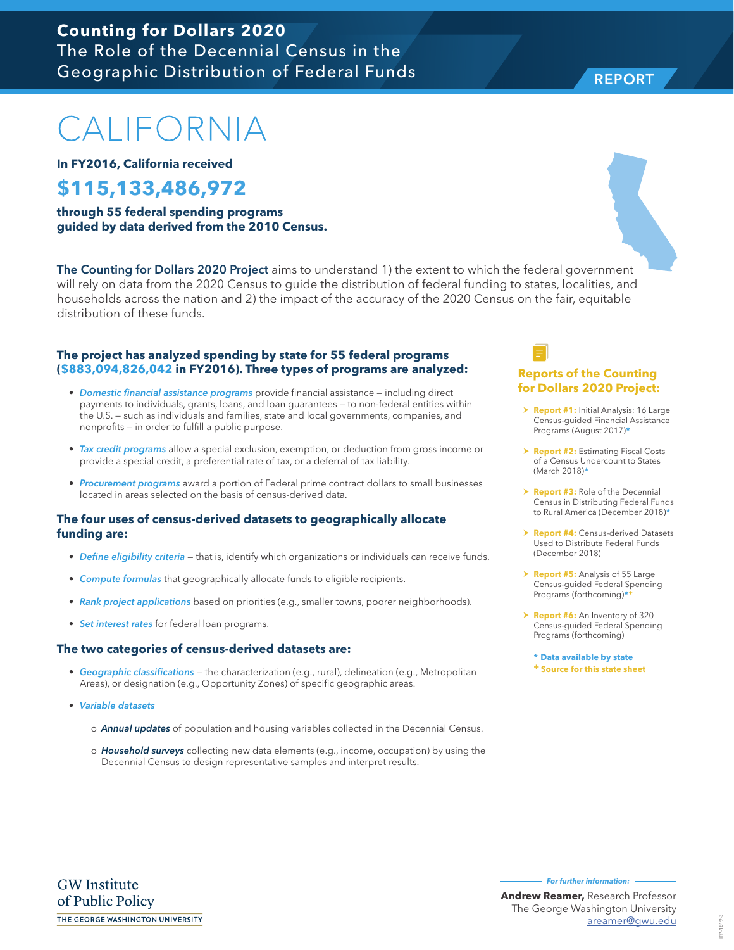### **Counting for Dollars 2020** The Role of the Decennial Census in the Geographic Distribution of Federal Funds

# CALIFORNIA

**In FY2016, California received**

## **\$115,133,486,972**

**through 55 federal spending programs guided by data derived from the 2010 Census.**

The Counting for Dollars 2020 Project aims to understand 1) the extent to which the federal government will rely on data from the 2020 Census to guide the distribution of federal funding to states, localities, and households across the nation and 2) the impact of the accuracy of the 2020 Census on the fair, equitable distribution of these funds.

#### **The project has analyzed spending by state for 55 federal programs (\$883,094,826,042 in FY2016). Three types of programs are analyzed:**

- *Domestic financial assistance programs* provide financial assistance including direct payments to individuals, grants, loans, and loan guarantees — to non-federal entities within the U.S. — such as individuals and families, state and local governments, companies, and nonprofits — in order to fulfill a public purpose.
- *Tax credit programs* allow a special exclusion, exemption, or deduction from gross income or provide a special credit, a preferential rate of tax, or a deferral of tax liability.
- *Procurement programs* award a portion of Federal prime contract dollars to small businesses located in areas selected on the basis of census-derived data.

#### **The four uses of census-derived datasets to geographically allocate funding are:**

- *Define eligibility criteria* that is, identify which organizations or individuals can receive funds.
- *Compute formulas* that geographically allocate funds to eligible recipients.
- *Rank project applications* based on priorities (e.g., smaller towns, poorer neighborhoods).
- *Set interest rates* for federal loan programs.

#### **The two categories of census-derived datasets are:**

- *Geographic classifications* the characterization (e.g., rural), delineation (e.g., Metropolitan Areas), or designation (e.g., Opportunity Zones) of specific geographic areas.
- *Variable datasets* 
	- o *Annual updates* of population and housing variables collected in the Decennial Census.
	- o *Household surveys* collecting new data elements (e.g., income, occupation) by using the Decennial Census to design representative samples and interpret results.

#### **Reports of the Counting for Dollars 2020 Project:**

- **> Report #1:** Initial Analysis: 16 Large Census-guided Financial Assistance Programs (August 2017)**\***
- **h Report #2: Estimating Fiscal Costs** of a Census Undercount to States (March 2018)**\***
- **Report #3:** Role of the Decennial Census in Distributing Federal Funds to Rural America (December 2018)**\***
- **Report #4: Census-derived Datasets** Used to Distribute Federal Funds (December 2018)
- > **Report #5:** Analysis of 55 Large Census-guided Federal Spending Programs (forthcoming)**\*+**
- > **Report #6:** An Inventory of 320 Census-guided Federal Spending Programs (forthcoming)

**\* Data available by state + Source for this state sheet**

**Andrew Reamer,** Research Professor The George Washington University

**For further information:** 

areamer@gwu.edu



REPORT

IPP-1819-3 IPP-1819-3